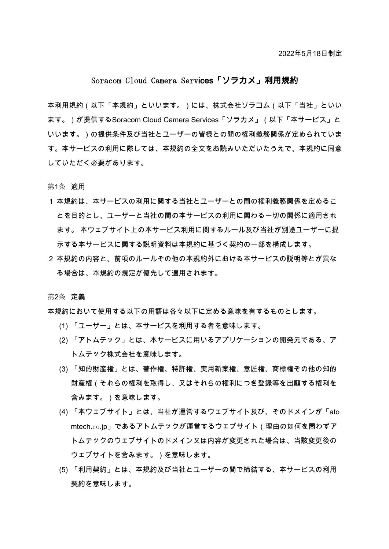# Soracom Cloud Camera Services「ソラカメ」利用規約

本利用規約(以下「本規約」といいます。)には、株式会社ソラコム(以下「当社」といい ます。)が提供するSoracom Cloud Camera Services「ソラカメ」(以下「本サービス」と いいます。)の提供条件及び当社とユーザーの皆様との間の権利義務関係が定められていま す。本サービスの利用に際しては、本規約の全文をお読みいただいたうえで、本規約に同意 していただく必要があります。

第1条 適用

- 1 本規約は、本サービスの利用に関する当社とユーザーとの間の権利義務関係を定めるこ とを目的とし、ユーザーと当社の間の本サービスの利用に関わる一切の関係に適用され ます。 本ウェブサイト上の本サービス利用に関するルール及び当社が別途ユーザーに提 示する本サービスに関する説明資料は本規約に基づく契約の一部を構成します。
- 2 本規約の内容と、前項のルールその他の本規約外における本サービスの説明等とが異な る場合は、本規約の規定が優先して適用されます。

第2条 定義

本規約において使用する以下の用語は各々以下に定める意味を有するものとします。

- (1) 「ユーザー」とは、本サービスを利用する者を意味します。
- (2) 「アトムテック」とは、本サービスに用いるアプリケーションの開発元である、ア トムテック株式会社を意味します。
- (3) 「知的財産権」とは、著作権、特許権、実用新案権、意匠権、商標権その他の知的 財産権(それらの権利を取得し、又はそれらの権利につき登録等を出願する権利を 含みます。)を意味します。
- (4) 「本ウェブサイト」とは、当社が運営するウェブサイト及び、そのドメインが「ato mtech.co.jp」であるアトムテックが運営するウェブサイト (理由の如何を問わずア トムテックのウェブサイトのドメイン又は内容が変更された場合は、当該変更後の ウェブサイトを含みます。)を意味します。
- (5) 「利用契約」とは、本規約及び当社とユーザーの間で締結する、本サービスの利用 契約を意味します。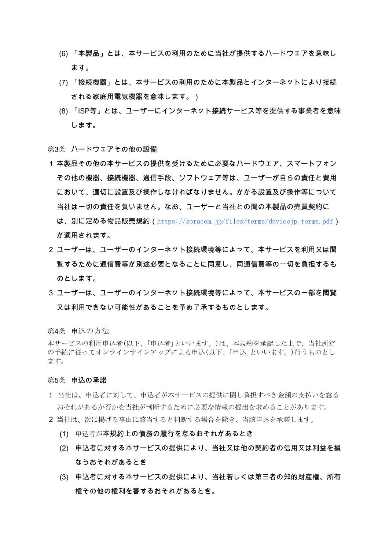- (6) 「本製品」とは、本サービスの利用のために当社が提供するハードウェアを意味し ます。
- (7) 「接続機器」とは、本サービスの利用のために本製品とインターネットにより接続 される家庭用電気機器を意味します。)
- (8) 「ISP等」とは、ユーザーにインターネット接続サービス等を提供する事業者を意味 します。

## 第3条 ハードウェアその他の設備

- 1 本製品その他の本サービスの提供を受けるために必要なハードウェア、スマートフォン その他の機器、接続機器、通信手段、ソフトウェア等は、ユーザーが自らの青仟と費用 において、適切に設置及び操作しなければなりません。かかる設置及び操作等について 当社は一切の青任を負いません。なお、ユーザーと当社との間の本製品の売買契約に は、別に定める物品販売規約(https://soracom.jp/files/terms/devicejp\_terms.pdf) が適用されます。
- 2 ユーザーは、ユーザーのインターネット接続環境等によって、本サービスを利用又は閲 覧するために通信費等が別途必要となることに同意し、同通信費等の一切を負担するも のとします。
- 3 ユーザーは、ユーザーのインターネット接続環境等によって、本サービスの一部を閲覧 又は利用できない可能性があることを予め了承するものとします。

### 第4条 申込の方法

本サービスの利用申込者(以下、「申込者」といいます。)は、本規約を承認した上で、当社所定 の手続に従ってオンラインサインアップによる申込(以下、「申込」といいます。)行うものとし ます。

#### 第5条 申込の承諾

- 1 当社は、申込者に対して、申込者が本サービスの提供に関し負担すべき金額の支払いを怠る おそれがあるか否かを当社が判断するために必要な情報の提出を求めることがあります。
- 2 当社は、次に掲げる事由に該当すると判断する場合を除き、当該申込を承諾します。
	- (1) 申込者が本規約上の債務の履行を怠るおそれがあるとき
	- (2) 申込者に対する本サービスの提供により、当社又は他の契約者の信用又は利益を損 なうおそれがあるとき
	- (3) 申込者に対する本サービスの提供により、当社若しくは第三者の知的財産権、所有 権その他の権利を害するおそれがあるとき。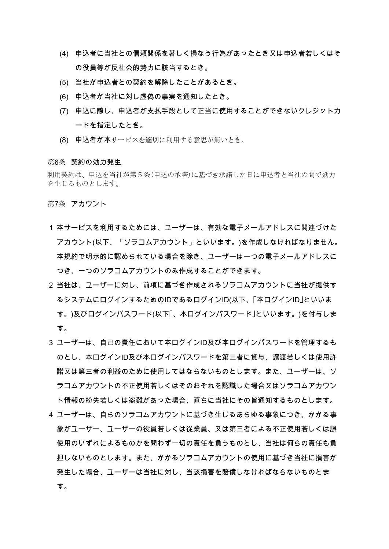- (4) 申込者に当社との信頼関係を著しく損なう行為があったとき又は申込者若しくはそ の役員等が反社会的勢力に該当するとき。
- (5) 当社が申込者との契約を解除したことがあるとき。
- (6) 申込者が当社に対し虚偽の事実を通知したとき。
- (7) 申込に際し、申込者が支払手段として正当に使用することができないクレジットカ ードを指定したとき。
- (8) 申込者が本サービスを適切に利用する意思が無いとき。

### 第6条 契約の効力発生

利用契約は、申込を当社が第5条(申込の承諾)に基づき承諾した日に申込者と当社の間で効力 を生じるものとします。

第7条 アカウント

- 1 本サービスを利用するためには、ユーザーは、有効な電子メールアドレスに関連づけた アカウント(以下、「ソラコムアカウント」といいます。)を作成しなければなりません。 本規約で明示的に認められている場合を除き、ユーザーは一つの電子メールアドレスに つき、一つのソラコムアカウントのみ作成することができます。
- 2 当社は、ユーザーに対し、前項に基づき作成されるソラコムアカウントに当社が提供す るシステムにログインするためのIDであるログインID(以下、「本ログインID」といいま す。)及びログインパスワード(以下「、本ログインパスワード」といいます。)を付与しま す。
- 3 ユーザーは、自己の責任において本ログインID及び本ログインパスワードを管理するも のとし、本ログインID及び本ログインパスワードを第三者に貸与、譲渡若しくは使用許 諾又は第三者の利益のために使用してはならないものとします。また、ユーザーは、ソ ラコムアカウントの不正使用若しくはそのおそれを認識した場合又はソラコムアカウン ト情報の紛失若しくは盗難があった場合、直ちに当社にその旨通知するものとします。
- 4 ユーザーは、自らのソラコムアカウントに基づき生じるあらゆる事象につき、かかる事 象がユーザー、ユーザーの役員若しくは従業員、又は第三者による不正使用若しくは誤 使用のいずれによるものかを問わず一切の責任を負うものとし、当社は何らの責任も負 担しないものとします。また、かかるソラコムアカウントの使用に基づき当社に損害が 発生した場合、ユーザーは当社に対し、当該損害を賠償しなければならないものとま す。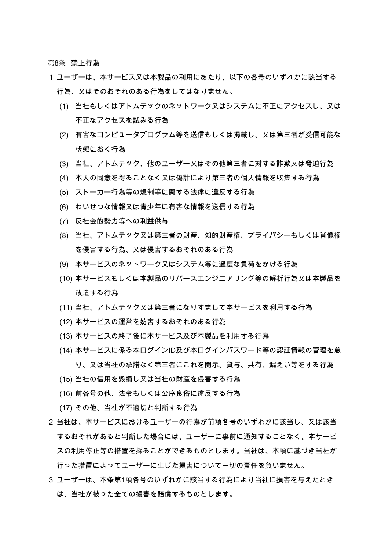第8条 禁止行為

- 1 ユーザーは、本サービス又は本製品の利用にあたり、以下の各号のいずれかに該当する 行為、又はそのおそれのある行為をしてはなりません。
	- (1) 当社もしくはアトムテックのネットワーク又はシステムに不正にアクセスし、又は 不正なアクセスを試みる行為
	- (2) 有害なコンピュータプログラム等を送信もしくは掲載し、又は第三者が受信可能な 状態におく行為
	- (3) 当社、アトムテック、他のユーザー又はその他第三者に対する詐欺又は脅迫行為
	- (4) 本人の同意を得ることなく又は偽計により第三者の個人情報を収集する行為
	- (5) ストーカー行為等の規制等に関する法律に違反する行為
	- (6) わいせつな情報又は青少年に有害な情報を送信する行為
	- (7) 反社会的勢力等への利益供与
	- (8) 当社、アトムテック又は第三者の財産、知的財産権、プライバシーもしくは肖像権 を侵害する行為、又は侵害するおそれのある行為
	- (9) 本サービスのネットワーク又はシステム等に過度な負荷をかける行為
	- (10) 本サービスもしくは本製品のリバースエンジニアリング等の解析行為又は本製品を 改造する行為
	- (11) 当社、アトムテック又は第三者になりすまして本サービスを利用する行為
	- (12) 本サービスの運営を妨害するおそれのある行為
	- (13) 本サービスの終了後に本サービス及び本製品を利用する行為
	- (14) 本サービスに係る本ログインID及び本ログインパスワード等の認証情報の管理を怠 り、又は当社の承諾なく第三者にこれを開示、貸与、共有、漏えい等をする行為
	- (15) 当社の信用を毀損し又は当社の財産を侵害する行為
	- (16) 前各号の他、法令もしくは公序良俗に違反する行為
	- (17) その他、当社が不適切と判断する行為
- 2 当社は、本サービスにおけるユーザーの行為が前項各号のいずれかに該当し、又は該当 するおそれがあると判断した場合には、ユーザーに事前に通知することなく、本サービ スの利用停止等の措置を採ることができるものとします。当社は、本項に基づき当社が 行った措置によってユーザーに生じた損害について一切の責任を負いません。
- 3 ユーザーは、本条第1項各号のいずれかに該当する行為により当社に損害を与えたとき は、当社が被った全ての損害を賠償するものとします。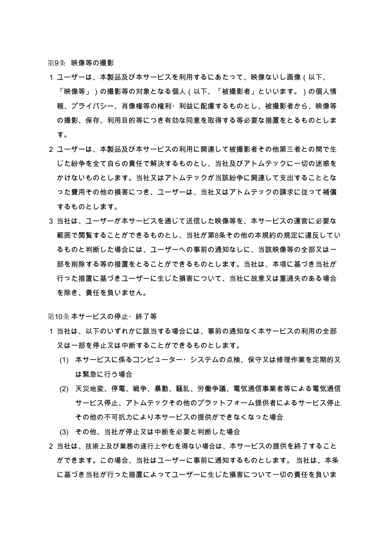第9条 映像等の撮影

- 1 ユーザーは、本製品及び本サービスを利用するにあたって、映像ないし画像(以下、 「映像等」)の撮影等の対象となる個人(以下、「被撮影者」といいます。)の個人情 報、プライバシー、肖像権等の権利・利益に配慮するものとし、被撮影者から、映像等 の撮影、保存、利用目的等につき有効な同意を取得する等必要な措置をとるものとしま す。
- 2 ユーザーは、本製品及び本サービスの利用に関連して被撮影者その他第三者との間で生 じた紛争を全て自らの青仟で解決するものとし、当社及びアトムテックに一切の迷惑を かけないものとします。当社又はアトムテックが当該紛争に関連して支出することとな った費用その他の損害につき、ユーザーは、当社又はアトムテックの請求に従って補償 するものとします。
- 3 当社は、ユーザーが本サービスを通じて送信した映像等を、本サービスの運営に必要な 範囲で閲覧することができるものとし、当社が第8条その他の本規約の規定に違反してい るものと判断した場合には、ユーザーへの事前の通知なしに、当該映像等の全部又は一 部を削除する等の措置をとることができるものとします。当社は、本項に基づき当社が 行った措置に基づきユーザーに生じた損害について、当社に故意又は重過失のある場合 を除き、責任を負いません。

第10条本サービスの停止・終了等

- 1 当社は、以下のいずれかに該当する場合には、事前の通知なく本サービスの利用の全部 又は一部を停止又は中断することができるものとします。
	- (1) 本サービスに係るコンピューター・システムの点検、保守又は修理作業を定期的又 は緊急に行う場合
	- (2) 天災地変、停電、戦争、暴動、騒乱、労働争議、電気通信事業者等による電気通信 サービス停止、アトムテックその他のプラットフォーム提供者によるサービス停止 その他の不可抗力により本サービスの提供ができなくなった場合
	- (3) その他、当社が停止又は中断を必要と判断した場合
- 2 当社は、技術上及び業務の遂行上やむを得ない場合は、本サービスの提供を終了すること ができます。この場合、当社はユーザーに事前に通知するものとします。 当社は、本条 に基づき当社が行った措置によってユーザーに生じた損害について一切の責任を負いま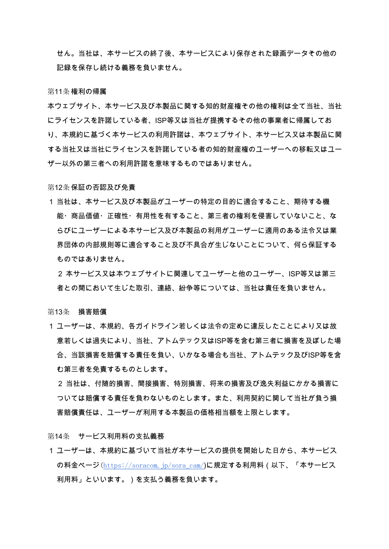せん。当社は、本サービスの終了後、本サービスにより保存された録画データその他の 記録を保存し続ける義務を負いません。

#### 第11条権利の帰属

本ウェブサイト、本サービス及び本製品に関する知的財産権その他の権利は全て当社、当社 にライセンスを許諾している者、ISP等又は当社が提携するその他の事業者に帰属してお り、本規約に基づく本サービスの利用許諾は、本ウェブサイト、本サービス又は本製品に関 する当社又は当社にライセンスを許諾している者の知的財産権のユーザーへの移転又はユー ザー以外の第三者への利用許諾を意味するものではありません。

### 第12条 保証の否認及び免責

1 当社は、本サービス及び本製品がユーザーの特定の目的に適合すること、期待する機 能・商品価値・正確性・有用性を有すること、第三者の権利を侵害していないこと、な らびにユーザーによる本サービス及び本製品の利用がユーザーに適用のある法令又は業 界団体の内部規則等に適合すること及び不具合が生じないことについて、何ら保証する ものではありません。

2 本サービス又は本ウェブサイトに関連してユーザーと他のユーザー、ISP等又は第三 者との間において生じた取引、連絡、紛争等については、当社は責任を負いません。

### 第13条 損害賠償

1 ユーザーは、本規約、各ガイドライン若しくは法令の定めに違反したことにより又は故 意若しくは過失により、当社、アトムテック又はISP等を含む第三者に損害を及ぼした場 合、当該損害を賠償する責任を負い、いかなる場合も当社、アトムテック及びISP等を含 む第三者を免責するものとします。

2 当社は、付随的損害、間接損害、特別損害、将来の損害及び逸失利益にかかる損害に ついては賠償する責任を負わないものとします。また、利用契約に関して当社が負う損 害賠償責任は、ユーザーが利用する本製品の価格相当額を上限とします。

第14条 サービス利用料の支払義務

1 ユーザーは、本規約に基づいて当社が本サービスの提供を開始した日から、本サービス の料金ページ (https://soracom.jp/sora\_cam/)に規定する利用料 (以下、「本サービス 利用料」といいます。)を支払う義務を負います。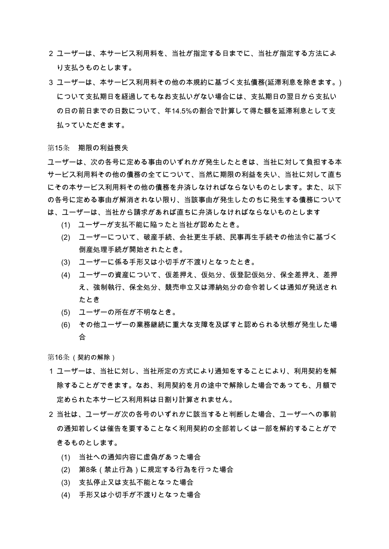- 2 ユーザーは、本サービス利用料を、当社が指定する日までに、当社が指定する方法によ り支払うものとします。
- 3 ユーザーは、本サービス利用料その他の本規約に基づく支払債務(延滞利息を除きます。) について支払期日を経過してもなお支払いがない場合には、支払期日の翌日から支払い の日の前日までの日数について、年14.5%の割合で計算して得た額を延滞利息として支 払っていただきます。

第15条 期限の利益喪失

ユーザーは、次の各号に定める事由のいずれかが発生したときは、当社に対して負担する本 サービス利用料その他の債務の全てについて、当然に期限の利益を失い、当社に対して直ち にその本サービス利用料その他の債務を弁済しなければならないものとします。また、以下 の各号に定める事由が解消されない限り、当該事由が発生したのちに発生する債務について は、ユーザーは、当社から請求があれば直ちに弁済しなければならないものとします

- (1) ユーザーが支払不能に陥ったと当社が認めたとき。
- (2) ユーザーについて、破産手続、会社更生手続、民事再生手続その他法令に基づく 倒産処理手続が開始されたとき。
- (3) ユーザーに係る手形又は小切手が不渡りとなったとき。
- (4) ユーザーの資産について、仮差押え、仮処分、仮登記仮処分、保全差押え、差押 え、強制執行、保全処分、競売申立又は滞納処分の命令若しくは通知が発送され たとき
- (5) ユーザーの所在が不明なとき。
- (6) その他ユーザーの業務継続に重大な支障を及ぼすと認められる状態が発生した場 合

第16条 (契約の解除)

- 1 ユーザーは、当社に対し、当社所定の方式により通知をすることにより、利用契約を解 除することができます。なお、利用契約を月の途中で解除した場合であっても、月額で 定められた本サービス利用料は日割り計算されません。
- 2 当社は、ユーザーが次の各号のいずれかに該当すると判断した場合、ユーザーへの事前 の通知若しくは催告を要することなく利用契約の全部若しくは一部を解約することがで きるものとします。
	- (1) 当社への通知内容に虚偽があった場合
	- (2) 第8条(禁止行為)に規定する行為を行った場合
	- (3) 支払停止又は支払不能となった場合
	- (4) 手形又は小切手が不渡りとなった場合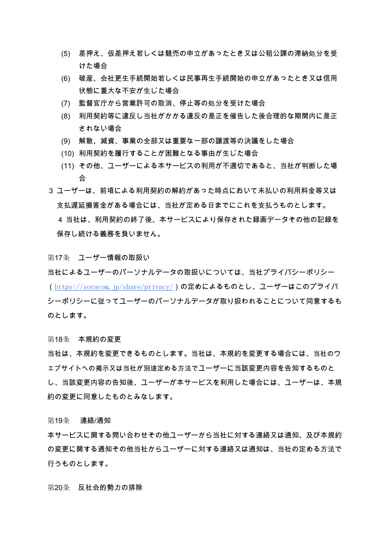- (5) 差押え、仮差押え若しくは競売の申立があったとき又は公租公課の滞納処分を受 けた場合
- (6) 破産、会社更生手続開始若しくは民事再生手続開始の申立があったとき又は信用 状態に重大な不安が生じた場合
- (7) 監督官庁から営業許可の取消、停止等の処分を受けた場合
- (8) 利用契約等に違反し当社がかかる違反の是正を催告した後合理的な期間内に是正 されない場合
- (9) 解散、減資、事業の全部又は重要な一部の譲渡等の決議をした場合
- (10) 利用契約を履行することが困難となる事由が生じた場合
- (11) その他、ユーザーによる本サービスの利用が不適切であると、当社が判断した場 슴
- 3 ユーザーは、前項による利用契約の解約があった時点において未払いの利用料金等又は 支払遅延損害金がある場合には、当社が定める日までにこれを支払うものとします。 4 当社は、利用契約の終了後、本サービスにより保存された録画データその他の記録を 保存し続ける義務を負いません。

第17条 ユーザー情報の取扱い

当社によるユーザーのパーソナルデータの取扱いについては、当社プライバシーポリシー (https://soracom.jp/share/privacy/**)の定めによるものとし、ユーザーはこのプライバ** シーポリシーに従ってユーザーのパーソナルデータが取り扱われることについて同意するも のとします。

第18条 本規約の変更

当社は、本規約を変更できるものとします。当社は、本規約を変更する場合には、当社のウ ェブサイトへの掲示又は当社が別途定める方法でユーザーに当該変更内容を告知するものと し、当該変更内容の告知後、ユーザーが本サービスを利用した場合には、ユーザーは、本規 約の変更に同意したものとみなします。

第19条 連絡/通知

本サービスに関する問い合わせその他ユーザーから当社に対する連絡又は通知、及び本規約 の変更に関する通知その他当社からユーザーに対する連絡又は通知は、当社の定める方法で 行うものとします。

第20条 反社会的勢力の排除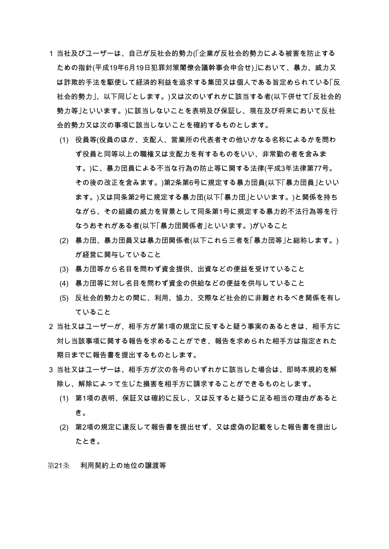- 1 当社及びユーザーは、自己が反社会的勢力(「企業が反社会的勢力による被害を防止する ための指針(平成19年6月19日犯罪対策閣僚会議幹事会申合せ)」において、暴力、威力又 は詐欺的手法を駆使して経済的利益を追求する集団又は個人である旨定められている「反 社会的勢力」、以下同じとします。)又は次のいずれかに該当する者(以下併せて「反社会的 勢力等 |といいます。)に該当しないことを表明及び保証し、現在及び将来において反社 会的勢力又は次の事項に該当しないことを確約するものとします。
	- (1) 役員等(役員のほか、支配人、営業所の代表者その他いかなる名称によるかを問わ ず役員と同等以上の職権又は支配力を有するものをいい、非常勤の者を含みま す。)に、暴力団員による不当な行為の防止等に関する法律(平成3年法律第77号。 その後の改正を含みます。)第2条第6号に規定する暴力団員(以下「暴力団員」といい ます。)又は同条第2号に規定する暴力団(以下「暴力団」といいます。)と関係を持ち ながら、その組織の威力を背景として同条第1号に規定する暴力的不法行為等を行 なうおそれがある者(以下「暴力団関係者」といいます。)がいること
	- (2) 暴力団、暴力団員又は暴力団関係者(以下これら三者を「暴力団等」と総称します。) が経営に関与していること
	- (3) 暴力団等から名目を問わず資金提供、出資などの便益を受けていること
	- (4) 暴力団等に対し名目を問わず資金の供給などの便益を供与していること
	- (5) 反社会的勢力との間に、利用、協力、交際など社会的に非難されるべき関係を有し ていること
- 2 当社又はユーザーが、相手方が第1項の規定に反すると疑う事実のあるときは、相手方に 対し当該事項に関する報告を求めることができ、報告を求められた相手方は指定された 期日までに報告書を提出するものとします。
- 3 当社又はユーザーは、相手方が次の各号のいずれかに該当した場合は、即時本規約を解 除し、解除によって生じた損害を相手方に請求することができるものとします。
	- (1) 第1項の表明、保証又は確約に反し、又は反すると疑うに足る相当の理由があると き。
	- (2) 第2項の規定に違反して報告書を提出せず、又は虚偽の記載をした報告書を提出し たとき。

第21条 利用契約上の地位の譲渡等